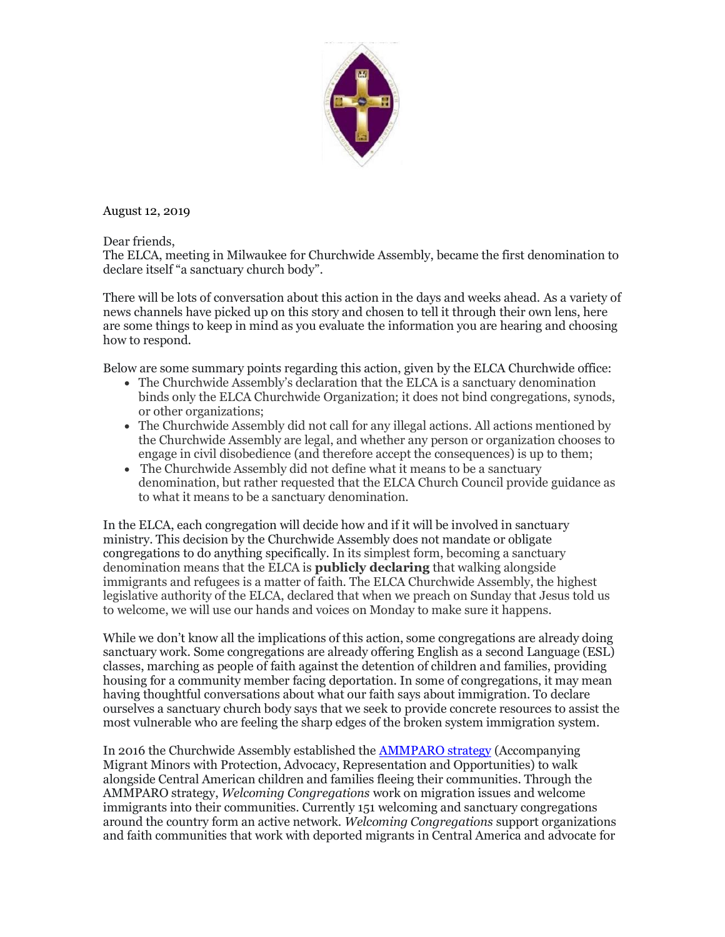

August 12, 2019

Dear friends,

The ELCA, meeting in Milwaukee for Churchwide Assembly, became the first denomination to declare itself "a sanctuary church body".

There will be lots of conversation about this action in the days and weeks ahead. As a variety of news channels have picked up on this story and chosen to tell it through their own lens, here are some things to keep in mind as you evaluate the information you are hearing and choosing how to respond.

Below are some summary points regarding this action, given by the ELCA Churchwide office:

- The Churchwide Assembly's declaration that the ELCA is a sanctuary denomination binds only the ELCA Churchwide Organization; it does not bind congregations, synods, or other organizations;
- The Churchwide Assembly did not call for any illegal actions. All actions mentioned by the Churchwide Assembly are legal, and whether any person or organization chooses to engage in civil disobedience (and therefore accept the consequences) is up to them;
- The Churchwide Assembly did not define what it means to be a sanctuary denomination, but rather requested that the ELCA Church Council provide guidance as to what it means to be a sanctuary denomination.

In the ELCA, each congregation will decide how and if it will be involved in sanctuary ministry. This decision by the Churchwide Assembly does not mandate or obligate congregations to do anything specifically. In its simplest form, becoming a sanctuary denomination means that the ELCA is **publicly declaring** that walking alongside immigrants and refugees is a matter of faith. The ELCA Churchwide Assembly, the highest legislative authority of the ELCA, declared that when we preach on Sunday that Jesus told us to welcome, we will use our hands and voices on Monday to make sure it happens.

While we don't know all the implications of this action, some congregations are already doing sanctuary work. Some congregations are already offering English as a second Language (ESL) classes, marching as people of faith against the detention of children and families, providing housing for a community member facing deportation. In some of congregations, it may mean having thoughtful conversations about what our faith says about immigration. To declare ourselves a sanctuary church body says that we seek to provide concrete resources to assist the most vulnerable who are feeling the sharp edges of the broken system immigration system.

In 2016 the Churchwide Assembly established the [AMMPARO strategy](http://r20.rs6.net/tn.jsp?f=001W1O2243nxHHfeXMoe9u0ZKTV6fe4U8efq00wTxcr99WcMvoXPktMyQWN47Av77lGoKQgnY9Ez8bMkfh5QuDPAIaPYscB8x-FYNXk1Xyd2lwf5_RcR9Xp5gwaqzW9T7O37yi_LyhuYD4qrMDAcStsFA==&c=aHcwrgJEuknNPhuwZYKkmkTr-vRdEf3mw_YE15s9EY75lYQ5TGlJsA==&ch=YL7FhWHs6v4V3omE5yjdCk-t45_cYs02rXdGVZMETPj3-EfjSxZdBg==) (Accompanying Migrant Minors with Protection, Advocacy, Representation and Opportunities) to walk alongside Central American children and families fleeing their communities. Through the AMMPARO strategy, *Welcoming Congregations* work on migration issues and welcome immigrants into their communities. Currently 151 welcoming and sanctuary congregations around the country form an active network. *Welcoming Congregations* support organizations and faith communities that work with deported migrants in Central America and advocate for